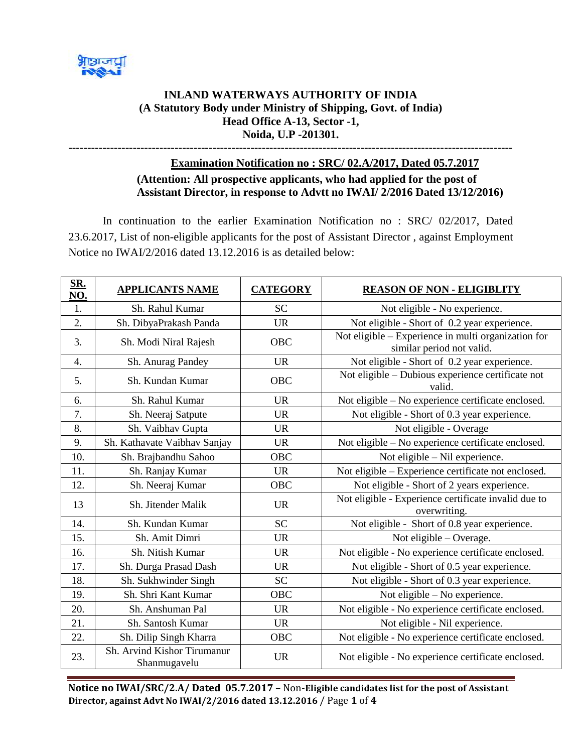

## **INLAND WATERWAYS AUTHORITY OF INDIA (A Statutory Body under Ministry of Shipping, Govt. of India) Head Office A-13, Sector -1, Noida, U.P -201301.**

**---------------------------------------------------------------------------------------------------------------------**

## **Examination Notification no : SRC/ 02.A/2017, Dated 05.7.2017 (Attention: All prospective applicants, who had applied for the post of Assistant Director, in response to Advtt no IWAI/ 2/2016 Dated 13/12/2016)**

In continuation to the earlier Examination Notification no : SRC/ 02/2017, Dated 23.6.2017, List of non-eligible applicants for the post of Assistant Director , against Employment Notice no IWAI/2/2016 dated 13.12.2016 is as detailed below:

| SR.<br>NO. | <b>APPLICANTS NAME</b>                      | <b>CATEGORY</b> | <b>REASON OF NON - ELIGIBLITY</b>                                                |
|------------|---------------------------------------------|-----------------|----------------------------------------------------------------------------------|
| 1.         | Sh. Rahul Kumar                             | <b>SC</b>       | Not eligible - No experience.                                                    |
| 2.         | Sh. DibyaPrakash Panda                      | <b>UR</b>       | Not eligible - Short of 0.2 year experience.                                     |
| 3.         | Sh. Modi Niral Rajesh                       | <b>OBC</b>      | Not eligible – Experience in multi organization for<br>similar period not valid. |
| 4.         | Sh. Anurag Pandey                           | <b>UR</b>       | Not eligible - Short of 0.2 year experience.                                     |
| 5.         | Sh. Kundan Kumar                            | <b>OBC</b>      | Not eligible - Dubious experience certificate not<br>valid.                      |
| 6.         | Sh. Rahul Kumar                             | <b>UR</b>       | Not eligible – No experience certificate enclosed.                               |
| 7.         | Sh. Neeraj Satpute                          | <b>UR</b>       | Not eligible - Short of 0.3 year experience.                                     |
| 8.         | Sh. Vaibhav Gupta                           | <b>UR</b>       | Not eligible - Overage                                                           |
| 9.         | Sh. Kathavate Vaibhav Sanjay                | <b>UR</b>       | Not eligible – No experience certificate enclosed.                               |
| 10.        | Sh. Brajbandhu Sahoo                        | <b>OBC</b>      | Not eligible - Nil experience.                                                   |
| 11.        | Sh. Ranjay Kumar                            | <b>UR</b>       | Not eligible - Experience certificate not enclosed.                              |
| 12.        | Sh. Neeraj Kumar                            | <b>OBC</b>      | Not eligible - Short of 2 years experience.                                      |
| 13         | Sh. Jitender Malik                          | <b>UR</b>       | Not eligible - Experience certificate invalid due to<br>overwriting.             |
| 14.        | Sh. Kundan Kumar                            | <b>SC</b>       | Not eligible - Short of 0.8 year experience.                                     |
| 15.        | Sh. Amit Dimri                              | <b>UR</b>       | Not eligible - Overage.                                                          |
| 16.        | Sh. Nitish Kumar                            | <b>UR</b>       | Not eligible - No experience certificate enclosed.                               |
| 17.        | Sh. Durga Prasad Dash                       | <b>UR</b>       | Not eligible - Short of 0.5 year experience.                                     |
| 18.        | Sh. Sukhwinder Singh                        | <b>SC</b>       | Not eligible - Short of 0.3 year experience.                                     |
| 19.        | Sh. Shri Kant Kumar                         | <b>OBC</b>      | Not eligible $-$ No experience.                                                  |
| 20.        | Sh. Anshuman Pal                            | <b>UR</b>       | Not eligible - No experience certificate enclosed.                               |
| 21.        | Sh. Santosh Kumar                           | <b>UR</b>       | Not eligible - Nil experience.                                                   |
| 22.        | Sh. Dilip Singh Kharra                      | OBC             | Not eligible - No experience certificate enclosed.                               |
| 23.        | Sh. Arvind Kishor Tirumanur<br>Shanmugavelu | <b>UR</b>       | Not eligible - No experience certificate enclosed.                               |

**Notice no IWAI/SRC/2.A/ Dated 05.7.2017** – Non-**Eligible candidates list for the post of Assistant Director, against Advt No IWAI/2/2016 dated 13.12.2016** / Page **1** of **4**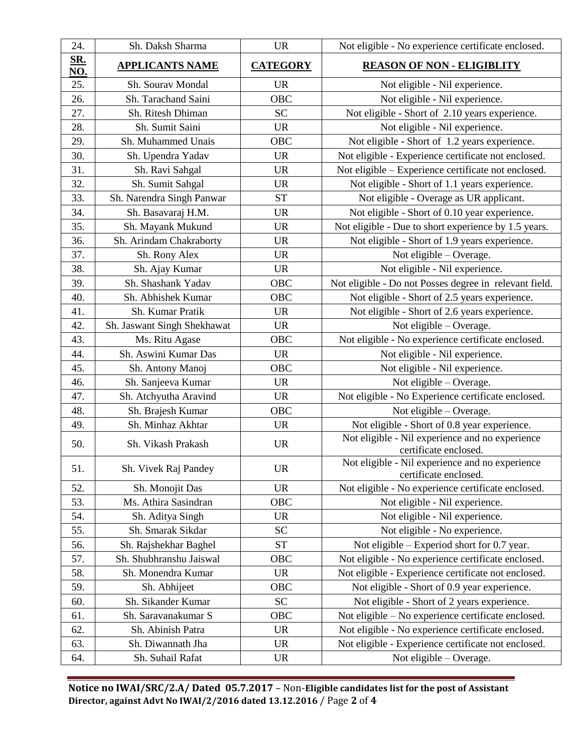| 24.               | Sh. Daksh Sharma            | <b>UR</b>       | Not eligible - No experience certificate enclosed.                       |
|-------------------|-----------------------------|-----------------|--------------------------------------------------------------------------|
| <u>SR.</u><br>NO. | <b>APPLICANTS NAME</b>      | <b>CATEGORY</b> | <b>REASON OF NON - ELIGIBLITY</b>                                        |
| 25.               | Sh. Sourav Mondal           | <b>UR</b>       | Not eligible - Nil experience.                                           |
| 26.               | Sh. Tarachand Saini         | OBC             | Not eligible - Nil experience.                                           |
| 27.               | Sh. Ritesh Dhiman           | <b>SC</b>       | Not eligible - Short of 2.10 years experience.                           |
| 28.               | Sh. Sumit Saini             | <b>UR</b>       | Not eligible - Nil experience.                                           |
| 29.               | Sh. Muhammed Unais          | <b>OBC</b>      | Not eligible - Short of 1.2 years experience.                            |
| 30.               | Sh. Upendra Yadav           | <b>UR</b>       | Not eligible - Experience certificate not enclosed.                      |
| 31.               | Sh. Ravi Sahgal             | <b>UR</b>       | Not eligible – Experience certificate not enclosed.                      |
| 32.               | Sh. Sumit Sahgal            | <b>UR</b>       | Not eligible - Short of 1.1 years experience.                            |
| 33.               | Sh. Narendra Singh Panwar   | <b>ST</b>       | Not eligible - Overage as UR applicant.                                  |
| 34.               | Sh. Basavaraj H.M.          | <b>UR</b>       | Not eligible - Short of 0.10 year experience.                            |
| 35.               | Sh. Mayank Mukund           | <b>UR</b>       | Not eligible - Due to short experience by 1.5 years.                     |
| 36.               | Sh. Arindam Chakraborty     | <b>UR</b>       | Not eligible - Short of 1.9 years experience.                            |
| 37.               | Sh. Rony Alex               | <b>UR</b>       | Not eligible - Overage.                                                  |
| 38.               | Sh. Ajay Kumar              | <b>UR</b>       | Not eligible - Nil experience.                                           |
| 39.               | Sh. Shashank Yadav          | OBC             | Not eligible - Do not Posses degree in relevant field.                   |
| 40.               | Sh. Abhishek Kumar          | <b>OBC</b>      | Not eligible - Short of 2.5 years experience.                            |
| 41.               | Sh. Kumar Pratik            | <b>UR</b>       | Not eligible - Short of 2.6 years experience.                            |
| 42.               | Sh. Jaswant Singh Shekhawat | <b>UR</b>       | Not eligible - Overage.                                                  |
| 43.               | Ms. Ritu Agase              | OBC             | Not eligible - No experience certificate enclosed.                       |
| 44.               | Sh. Aswini Kumar Das        | <b>UR</b>       | Not eligible - Nil experience.                                           |
| 45.               | Sh. Antony Manoj            | OBC             | Not eligible - Nil experience.                                           |
| 46.               | Sh. Sanjeeva Kumar          | <b>UR</b>       | Not eligible - Overage.                                                  |
| 47.               | Sh. Atchyutha Aravind       | <b>UR</b>       | Not eligible - No Experience certificate enclosed.                       |
| 48.               | Sh. Brajesh Kumar           | OBC             | Not eligible – Overage.                                                  |
| 49.               | Sh. Minhaz Akhtar           | <b>UR</b>       | Not eligible - Short of 0.8 year experience.                             |
| 50.               | Sh. Vikash Prakash          | <b>UR</b>       | Not eligible - Nil experience and no experience<br>certificate enclosed. |
| 51.               | Sh. Vivek Raj Pandey        | <b>UR</b>       | Not eligible - Nil experience and no experience<br>certificate enclosed. |
| 52.               | Sh. Monojit Das             | <b>UR</b>       | Not eligible - No experience certificate enclosed.                       |
| 53.               | Ms. Athira Sasindran        | OBC             | Not eligible - Nil experience.                                           |
| 54.               | Sh. Aditya Singh            | <b>UR</b>       | Not eligible - Nil experience.                                           |
| 55.               | Sh. Smarak Sikdar           | <b>SC</b>       | Not eligible - No experience.                                            |
| 56.               | Sh. Rajshekhar Baghel       | <b>ST</b>       | Not eligible $-$ Experiod short for 0.7 year.                            |
| 57.               | Sh. Shubhranshu Jaiswal     | OBC             | Not eligible - No experience certificate enclosed.                       |
| 58.               | Sh. Monendra Kumar          | <b>UR</b>       | Not eligible - Experience certificate not enclosed.                      |
| 59.               | Sh. Abhijeet                | OBC             | Not eligible - Short of 0.9 year experience.                             |
| 60.               | Sh. Sikander Kumar          | <b>SC</b>       | Not eligible - Short of 2 years experience.                              |
| 61.               | Sh. Saravanakumar S         | OBC             | Not eligible - No experience certificate enclosed.                       |
| 62.               | Sh. Abinish Patra           | <b>UR</b>       | Not eligible - No experience certificate enclosed.                       |
| 63.               | Sh. Diwannath Jha           | <b>UR</b>       | Not eligible - Experience certificate not enclosed.                      |
| 64.               | Sh. Suhail Rafat            | <b>UR</b>       | Not eligible $-$ Overage.                                                |

**Notice no IWAI/SRC/2.A/ Dated 05.7.2017** – Non-**Eligible candidates list for the post of Assistant Director, against Advt No IWAI/2/2016 dated 13.12.2016** / Page **2** of **4**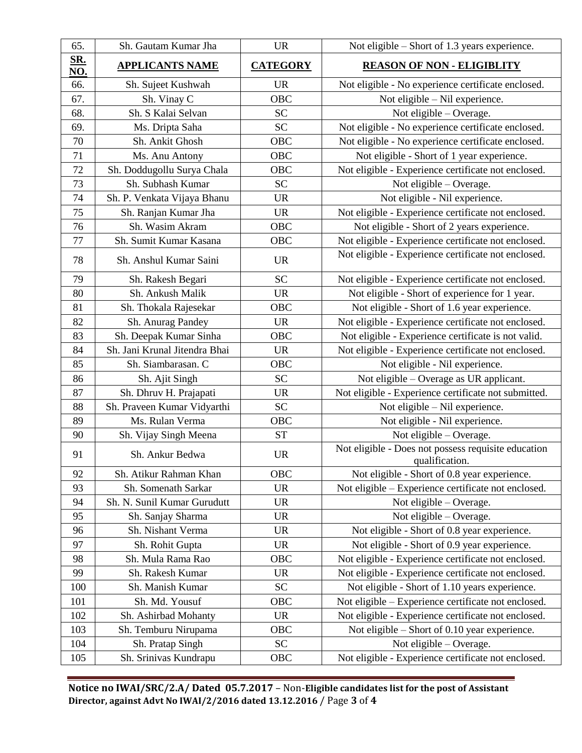| 65.               | Sh. Gautam Kumar Jha          | <b>UR</b>          | Not eligible – Short of 1.3 years experience.                         |
|-------------------|-------------------------------|--------------------|-----------------------------------------------------------------------|
| SR.<br><b>NO.</b> | <b>APPLICANTS NAME</b>        | <b>CATEGORY</b>    | <b>REASON OF NON - ELIGIBLITY</b>                                     |
| 66.               | Sh. Sujeet Kushwah            | <b>UR</b>          | Not eligible - No experience certificate enclosed.                    |
| 67.               | Sh. Vinay C                   | <b>OBC</b>         | Not eligible - Nil experience.                                        |
| 68.               | Sh. S Kalai Selvan            | <b>SC</b>          | Not eligible $-$ Overage.                                             |
| 69.               | Ms. Dripta Saha               | <b>SC</b>          | Not eligible - No experience certificate enclosed.                    |
| 70                | Sh. Ankit Ghosh               | OBC                | Not eligible - No experience certificate enclosed.                    |
| 71                | Ms. Anu Antony                | <b>OBC</b>         | Not eligible - Short of 1 year experience.                            |
| 72                | Sh. Doddugollu Surya Chala    | OBC                | Not eligible - Experience certificate not enclosed.                   |
| 73                | Sh. Subhash Kumar             | <b>SC</b>          | Not eligible – Overage.                                               |
| 74                | Sh. P. Venkata Vijaya Bhanu   | <b>UR</b>          | Not eligible - Nil experience.                                        |
| 75                | Sh. Ranjan Kumar Jha          | <b>UR</b>          | Not eligible - Experience certificate not enclosed.                   |
| 76                | Sh. Wasim Akram               | OBC                | Not eligible - Short of 2 years experience.                           |
| 77                | Sh. Sumit Kumar Kasana        | OBC                | Not eligible - Experience certificate not enclosed.                   |
| 78                | Sh. Anshul Kumar Saini        | <b>UR</b>          | Not eligible - Experience certificate not enclosed.                   |
| 79                | Sh. Rakesh Begari             | <b>SC</b>          | Not eligible - Experience certificate not enclosed.                   |
| 80                | Sh. Ankush Malik              | <b>UR</b>          | Not eligible - Short of experience for 1 year.                        |
| 81                | Sh. Thokala Rajesekar         | <b>OBC</b>         | Not eligible - Short of 1.6 year experience.                          |
| 82                | Sh. Anurag Pandey             | <b>UR</b>          | Not eligible - Experience certificate not enclosed.                   |
| 83                | Sh. Deepak Kumar Sinha        | OBC                | Not eligible - Experience certificate is not valid.                   |
| 84                | Sh. Jani Krunal Jitendra Bhai | <b>UR</b>          | Not eligible - Experience certificate not enclosed.                   |
| 85                | Sh. Siambarasan. C            | OBC                | Not eligible - Nil experience.                                        |
| 86                | Sh. Ajit Singh                | <b>SC</b>          | Not eligible – Overage as UR applicant.                               |
| 87                | Sh. Dhruv H. Prajapati        | <b>UR</b>          | Not eligible - Experience certificate not submitted.                  |
| 88                | Sh. Praveen Kumar Vidyarthi   | <b>SC</b>          | Not eligible - Nil experience.                                        |
| 89                | Ms. Rulan Verma               | OBC                | Not eligible - Nil experience.                                        |
| 90                | Sh. Vijay Singh Meena         | ${\cal S}{\cal T}$ | Not eligible - Overage.                                               |
| 91                | Sh. Ankur Bedwa               | <b>UR</b>          | Not eligible - Does not possess requisite education<br>qualification. |
| 92                | Sh. Atikur Rahman Khan        | OBC                | Not eligible - Short of 0.8 year experience.                          |
| 93                | Sh. Somenath Sarkar           | <b>UR</b>          | Not eligible - Experience certificate not enclosed.                   |
| 94                | Sh. N. Sunil Kumar Gurudutt   | <b>UR</b>          | Not eligible - Overage.                                               |
| 95                | Sh. Sanjay Sharma             | <b>UR</b>          | Not eligible - Overage.                                               |
| 96                | Sh. Nishant Verma             | <b>UR</b>          | Not eligible - Short of 0.8 year experience.                          |
| 97                | Sh. Rohit Gupta               | <b>UR</b>          | Not eligible - Short of 0.9 year experience.                          |
| 98                | Sh. Mula Rama Rao             | OBC                | Not eligible - Experience certificate not enclosed.                   |
| 99                | Sh. Rakesh Kumar              | <b>UR</b>          | Not eligible - Experience certificate not enclosed.                   |
| 100               | Sh. Manish Kumar              | <b>SC</b>          | Not eligible - Short of 1.10 years experience.                        |
| 101               | Sh. Md. Yousuf                | <b>OBC</b>         | Not eligible – Experience certificate not enclosed.                   |
| 102               | Sh. Ashirbad Mohanty          | <b>UR</b>          | Not eligible - Experience certificate not enclosed.                   |
| 103               | Sh. Temburu Nirupama          | OBC                | Not eligible $-$ Short of 0.10 year experience.                       |
| 104               | Sh. Pratap Singh              | <b>SC</b>          | Not eligible $-$ Overage.                                             |
| 105               | Sh. Srinivas Kundrapu         | OBC                | Not eligible - Experience certificate not enclosed.                   |

**Notice no IWAI/SRC/2.A/ Dated 05.7.2017** – Non-**Eligible candidates list for the post of Assistant Director, against Advt No IWAI/2/2016 dated 13.12.2016** / Page **3** of **4**